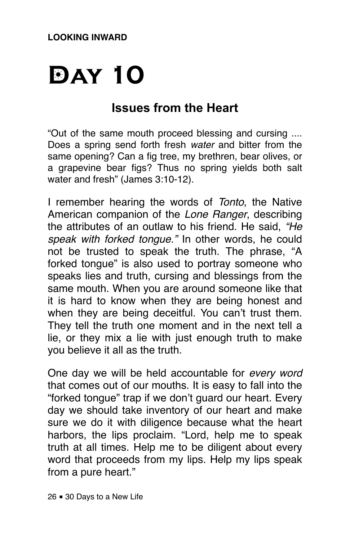# **DAY 10**

## **Issues from the Heart**

"Out of the same mouth proceed blessing and cursing .... Does a spring send forth fresh *water* and bitter from the same opening? Can a fig tree, my brethren, bear olives, or a grapevine bear figs? Thus no spring yields both salt water and fresh" (James 3:10-12).

I remember hearing the words of *Tonto*, the Native American companion of the *Lone Ranger*, describing the attributes of an outlaw to his friend. He said, *"He speak with forked tongue."* In other words, he could not be trusted to speak the truth. The phrase, "A forked tongue" is also used to portray someone who speaks lies and truth, cursing and blessings from the same mouth. When you are around someone like that it is hard to know when they are being honest and when they are being deceitful. You can't trust them. They tell the truth one moment and in the next tell a lie, or they mix a lie with just enough truth to make you believe it all as the truth.

One day we will be held accountable for *every word* that comes out of our mouths. It is easy to fall into the "forked tongue" trap if we don't guard our heart. Every day we should take inventory of our heart and make sure we do it with diligence because what the heart harbors, the lips proclaim. "Lord, help me to speak truth at all times. Help me to be diligent about every word that proceeds from my lips. Help my lips speak from a pure heart."